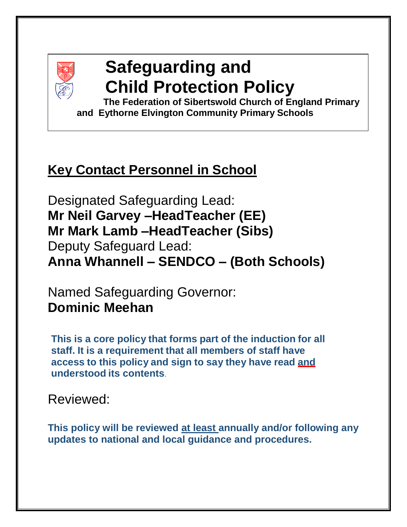

# **Safeguarding and Child Protection Policy**

**The Federation of Sibertswold Church of England Primary and Eythorne Elvington Community Primary Schools**

## **Key Contact Personnel in School**

Designated Safeguarding Lead: **Mr Neil Garvey –HeadTeacher (EE) Mr Mark Lamb –HeadTeacher (Sibs)** Deputy Safeguard Lead: **Anna Whannell – SENDCO – (Both Schools)**

Named Safeguarding Governor: **Dominic Meehan**

**This is a core policy that forms part of the induction for all staff. It is a requirement that all members of staff have access to this policy and sign to say they have read and understood its contents**.

## Reviewed:

**This policy will be reviewed at least annually and/or following any updates to national and local guidance and procedures.**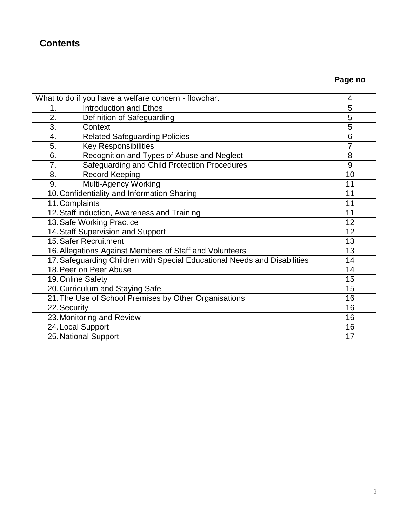## **Contents**

|                                                                           | Page no        |
|---------------------------------------------------------------------------|----------------|
|                                                                           |                |
| What to do if you have a welfare concern - flowchart                      | 4              |
| <b>Introduction and Ethos</b><br>1.                                       | 5              |
| 2.<br>Definition of Safeguarding                                          | 5              |
| 3.<br>Context                                                             | $\overline{5}$ |
| <b>Related Safeguarding Policies</b><br>4.                                | 6              |
| 5.<br><b>Key Responsibilities</b>                                         | 7              |
| Recognition and Types of Abuse and Neglect<br>6.                          | 8              |
| Safeguarding and Child Protection Procedures<br>7.                        | 9              |
| 8.<br><b>Record Keeping</b>                                               | 10             |
| 9.<br>Multi-Agency Working                                                | 11             |
| 10. Confidentiality and Information Sharing                               | 11             |
| 11. Complaints                                                            | 11             |
| 12. Staff induction, Awareness and Training                               | 11             |
| 13. Safe Working Practice                                                 | 12             |
| 14. Staff Supervision and Support                                         | 12             |
| 15. Safer Recruitment                                                     | 13             |
| 16. Allegations Against Members of Staff and Volunteers                   | 13             |
| 17. Safeguarding Children with Special Educational Needs and Disabilities | 14             |
| 18. Peer on Peer Abuse                                                    | 14             |
| 19. Online Safety                                                         | 15             |
| 20. Curriculum and Staying Safe                                           | 15             |
| 21. The Use of School Premises by Other Organisations                     | 16             |
| 22. Security                                                              | 16             |
| 23. Monitoring and Review                                                 | 16             |
| 24. Local Support                                                         | 16             |
| 25. National Support                                                      | 17             |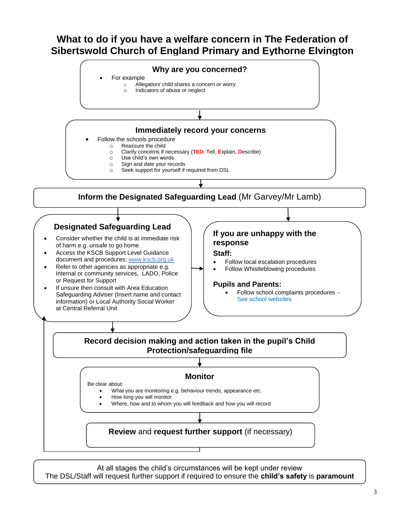## **What to do if you have a welfare concern in The Federation of Sibertswold Church of England Primary and Eythorne Elvington**



At all stages the child's circumstances will be kept under review The DSL/Staff will request further support if required to ensure the **child's safety** is **paramount**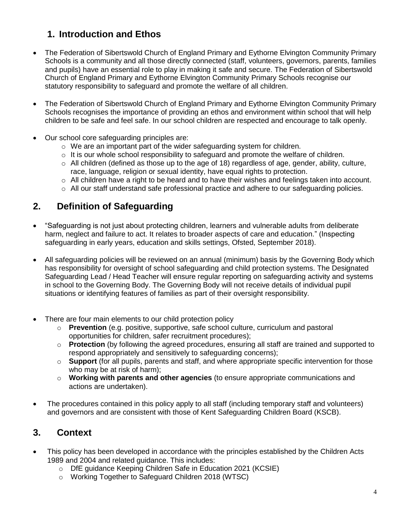## **1. Introduction and Ethos**

- The Federation of Sibertswold Church of England Primary and Eythorne Elvington Community Primary Schools is a community and all those directly connected (staff, volunteers, governors, parents, families and pupils) have an essential role to play in making it safe and secure. The Federation of Sibertswold Church of England Primary and Eythorne Elvington Community Primary Schools recognise our statutory responsibility to safeguard and promote the welfare of all children.
- The Federation of Sibertswold Church of England Primary and Eythorne Elvington Community Primary Schools recognises the importance of providing an ethos and environment within school that will help children to be safe and feel safe. In our school children are respected and encourage to talk openly.
- Our school core safeguarding principles are:
	- o We are an important part of the wider safeguarding system for children.
	- $\circ$  It is our whole school responsibility to safeguard and promote the welfare of children.
	- $\circ$  All children (defined as those up to the age of 18) regardless of age, gender, ability, culture, race, language, religion or sexual identity, have equal rights to protection.
	- $\circ$  All children have a right to be heard and to have their wishes and feelings taken into account.
	- o All our staff understand safe professional practice and adhere to our safeguarding policies.

## **2. Definition of Safeguarding**

- "Safeguarding is not just about protecting children, learners and vulnerable adults from deliberate harm, neglect and failure to act. It relates to broader aspects of care and education." (Inspecting safeguarding in early years, education and skills settings, Ofsted, September 2018).
- All safeguarding policies will be reviewed on an annual (minimum) basis by the Governing Body which has responsibility for oversight of school safeguarding and child protection systems. The Designated Safeguarding Lead / Head Teacher will ensure regular reporting on safeguarding activity and systems in school to the Governing Body. The Governing Body will not receive details of individual pupil situations or identifying features of families as part of their oversight responsibility.
- There are four main elements to our child protection policy
	- o **Prevention** (e.g. positive, supportive, safe school culture, curriculum and pastoral opportunities for children, safer recruitment procedures);
	- o **Protection** (by following the agreed procedures, ensuring all staff are trained and supported to respond appropriately and sensitively to safeguarding concerns);
	- o **Support** (for all pupils, parents and staff, and where appropriate specific intervention for those who may be at risk of harm);
	- o **Working with parents and other agencies** (to ensure appropriate communications and actions are undertaken).
- The procedures contained in this policy apply to all staff (including temporary staff and volunteers) and governors and are consistent with those of Kent Safeguarding Children Board (KSCB).

## **3. Context**

- This policy has been developed in accordance with the principles established by the Children Acts 1989 and 2004 and related guidance. This includes:
	- o DfE guidance Keeping Children Safe in Education 2021 (KCSIE)
	- o Working Together to Safeguard Children 2018 (WTSC)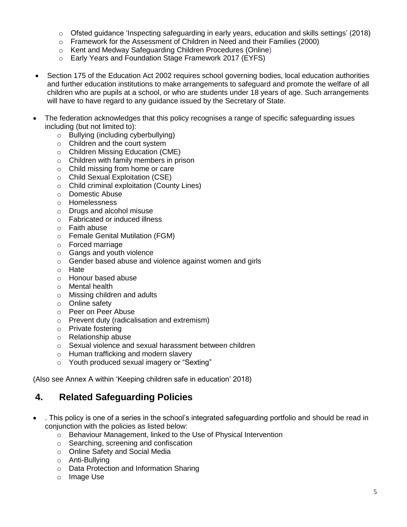- $\circ$  Ofsted guidance 'Inspecting safeguarding in early years, education and skills settings' (2018)
- o Framework for the Assessment of Children in Need and their Families (2000)
- o Kent and Medway Safeguarding Children Procedures (Online)
- o Early Years and Foundation Stage Framework 2017 (EYFS)
- Section 175 of the Education Act 2002 requires school governing bodies, local education authorities and further education institutions to make arrangements to safeguard and promote the welfare of all children who are pupils at a school, or who are students under 18 years of age. Such arrangements will have to have regard to any guidance issued by the Secretary of State.
- The federation acknowledges that this policy recognises a range of specific safeguarding issues including (but not limited to):
	- o Bullying (including cyberbullying)
	- o Children and the court system
	- o Children Missing Education (CME)
	- o Children with family members in prison
	- o Child missing from home or care
	- o Child Sexual Exploitation (CSE)
	- o Child criminal exploitation (County Lines)
	- o Domestic Abuse
	- o Homelessness
	- o Drugs and alcohol misuse
	- o Fabricated or induced illness
	- o Faith abuse
	- o Female Genital Mutilation (FGM)
	- o Forced marriage
	- o Gangs and youth violence
	- o Gender based abuse and violence against women and girls
	- o Hate
	- o Honour based abuse
	- o Mental health
	- o Missing children and adults
	- o Online safety
	- o Peer on Peer Abuse
	- o Prevent duty (radicalisation and extremism)
	- o Private fostering
	- o Relationship abuse
	- o Sexual violence and sexual harassment between children
	- o Human trafficking and modern slavery
	- o Youth produced sexual imagery or "Sexting"

(Also see Annex A within 'Keeping children safe in education' 2018)

#### **4. Related Safeguarding Policies**

- . This policy is one of a series in the school's integrated safeguarding portfolio and should be read in conjunction with the policies as listed below:
	- o Behaviour Management, linked to the Use of Physical Intervention
	- o Searching, screening and confiscation
	- o Online Safety and Social Media
	- o Anti-Bullying
	- o Data Protection and Information Sharing
	- o Image Use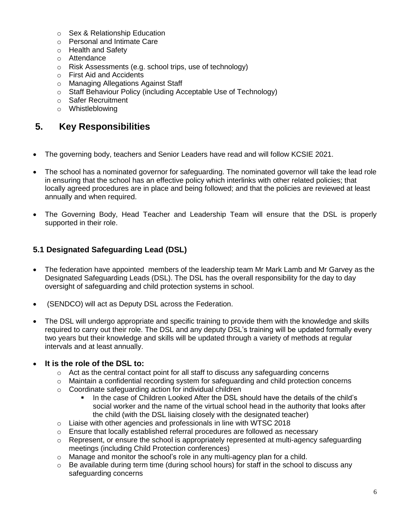- o Sex & Relationship Education
- o Personal and Intimate Care
- o Health and Safety
- o Attendance
- o Risk Assessments (e.g. school trips, use of technology)
- o First Aid and Accidents
- o Managing Allegations Against Staff
- o Staff Behaviour Policy (including Acceptable Use of Technology)
- o Safer Recruitment
- o Whistleblowing

## **5. Key Responsibilities**

- The governing body, teachers and Senior Leaders have read and will follow KCSIE 2021.
- The school has a nominated governor for safeguarding. The nominated governor will take the lead role in ensuring that the school has an effective policy which interlinks with other related policies; that locally agreed procedures are in place and being followed; and that the policies are reviewed at least annually and when required.
- The Governing Body, Head Teacher and Leadership Team will ensure that the DSL is properly supported in their role.

#### **5.1 Designated Safeguarding Lead (DSL)**

- The federation have appointed members of the leadership team Mr Mark Lamb and Mr Garvey as the Designated Safeguarding Leads (DSL). The DSL has the overall responsibility for the day to day oversight of safeguarding and child protection systems in school.
- (SENDCO) will act as Deputy DSL across the Federation.
- The DSL will undergo appropriate and specific training to provide them with the knowledge and skills required to carry out their role. The DSL and any deputy DSL's training will be updated formally every two years but their knowledge and skills will be updated through a variety of methods at regular intervals and at least annually.

#### **It is the role of the DSL to:**

- $\circ$  Act as the central contact point for all staff to discuss any safeguarding concerns
- $\circ$  Maintain a confidential recording system for safeguarding and child protection concerns
- o Coordinate safeguarding action for individual children
	- In the case of Children Looked After the DSL should have the details of the child's social worker and the name of the virtual school head in the authority that looks after the child (with the DSL liaising closely with the designated teacher)
- o Liaise with other agencies and professionals in line with WTSC 2018
- $\circ$  Ensure that locally established referral procedures are followed as necessary
- $\circ$  Represent, or ensure the school is appropriately represented at multi-agency safeguarding meetings (including Child Protection conferences)
- $\circ$  Manage and monitor the school's role in any multi-agency plan for a child.
- o Be available during term time (during school hours) for staff in the school to discuss any safeguarding concerns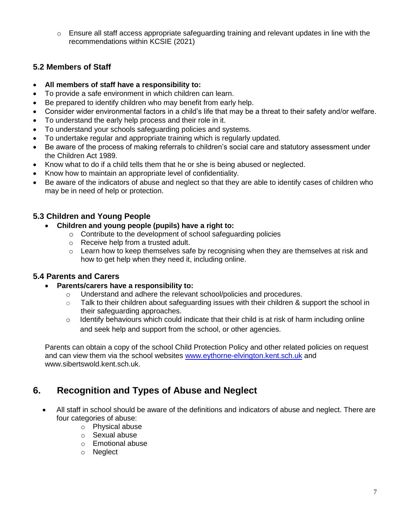o Ensure all staff access appropriate safeguarding training and relevant updates in line with the recommendations within KCSIE (2021)

#### **5.2 Members of Staff**

- **All members of staff have a responsibility to:**
- To provide a safe environment in which children can learn.
- Be prepared to identify children who may benefit from early help.
- Consider wider environmental factors in a child's life that may be a threat to their safety and/or welfare.
- To understand the early help process and their role in it.
- To understand your schools safeguarding policies and systems.
- To undertake regular and appropriate training which is regularly updated.
- Be aware of the process of making referrals to children's social care and statutory assessment under the Children Act 1989.
- Know what to do if a child tells them that he or she is being abused or neglected.
- Know how to maintain an appropriate level of confidentiality.
- Be aware of the indicators of abuse and neglect so that they are able to identify cases of children who may be in need of help or protection.

#### **5.3 Children and Young People**

- **Children and young people (pupils) have a right to:**
	- o Contribute to the development of school safeguarding policies
	- o Receive help from a trusted adult.
	- $\circ$  Learn how to keep themselves safe by recognising when they are themselves at risk and how to get help when they need it, including online.

#### **5.4 Parents and Carers**

- **Parents/carers have a responsibility to:**
	- o Understand and adhere the relevant school/policies and procedures.
	- o Talk to their children about safeguarding issues with their children & support the school in their safeguarding approaches.
	- o Identify behaviours which could indicate that their child is at risk of harm including online and seek help and support from the school, or other agencies.

Parents can obtain a copy of the school Child Protection Policy and other related policies on request and can view them via the school websites [www.eythorne-elvington.kent.sch.uk](http://www.eythorne-elvington.kent.sch.uk/) and www.sibertswold.kent.sch.uk.

## **6. Recognition and Types of Abuse and Neglect**

- All staff in school should be aware of the definitions and indicators of abuse and neglect. There are four categories of abuse:
	- o Physical abuse
	- o Sexual abuse
	- o Emotional abuse
	- o Neglect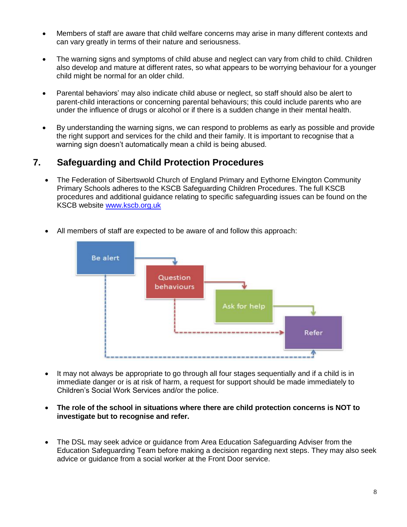- Members of staff are aware that child welfare concerns may arise in many different contexts and can vary greatly in terms of their nature and seriousness.
- The warning signs and symptoms of child abuse and neglect can vary from child to child. Children also develop and mature at different rates, so what appears to be worrying behaviour for a younger child might be normal for an older child.
- Parental behaviors' may also indicate child abuse or neglect, so staff should also be alert to parent-child interactions or concerning parental behaviours; this could include parents who are under the influence of drugs or alcohol or if there is a sudden change in their mental health.
- By understanding the warning signs, we can respond to problems as early as possible and provide the right support and services for the child and their family. It is important to recognise that a warning sign doesn't automatically mean a child is being abused.

## **7. Safeguarding and Child Protection Procedures**

• The Federation of Sibertswold Church of England Primary and Eythorne Elvington Community Primary Schools adheres to the KSCB Safeguarding Children Procedures. The full KSCB procedures and additional guidance relating to specific safeguarding issues can be found on the KSCB website [www.kscb.org.uk](http://www.kscb.org.uk/)



All members of staff are expected to be aware of and follow this approach:

- It may not always be appropriate to go through all four stages sequentially and if a child is in immediate danger or is at risk of harm, a request for support should be made immediately to Children's Social Work Services and/or the police.
- **The role of the school in situations where there are child protection concerns is NOT to investigate but to recognise and refer.**
- The DSL may seek advice or guidance from Area Education Safeguarding Adviser from the Education Safeguarding Team before making a decision regarding next steps. They may also seek advice or guidance from a social worker at the Front Door service.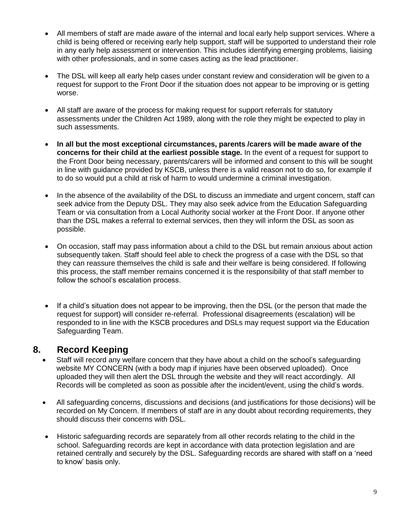- All members of staff are made aware of the internal and local early help support services. Where a child is being offered or receiving early help support, staff will be supported to understand their role in any early help assessment or intervention. This includes identifying emerging problems, liaising with other professionals, and in some cases acting as the lead practitioner.
- The DSL will keep all early help cases under constant review and consideration will be given to a request for support to the Front Door if the situation does not appear to be improving or is getting worse.
- All staff are aware of the process for making request for support referrals for statutory assessments under the Children Act 1989, along with the role they might be expected to play in such assessments.
- **In all but the most exceptional circumstances, parents /carers will be made aware of the concerns for their child at the earliest possible stage.** In the event of a request for support to the Front Door being necessary, parents/carers will be informed and consent to this will be sought in line with guidance provided by KSCB, unless there is a valid reason not to do so, for example if to do so would put a child at risk of harm to would undermine a criminal investigation.
- In the absence of the availability of the DSL to discuss an immediate and urgent concern, staff can seek advice from the Deputy DSL. They may also seek advice from the Education Safeguarding Team or via consultation from a Local Authority social worker at the Front Door. If anyone other than the DSL makes a referral to external services, then they will inform the DSL as soon as possible.
- On occasion, staff may pass information about a child to the DSL but remain anxious about action subsequently taken. Staff should feel able to check the progress of a case with the DSL so that they can reassure themselves the child is safe and their welfare is being considered. If following this process, the staff member remains concerned it is the responsibility of that staff member to follow the school's escalation process.
- If a child's situation does not appear to be improving, then the DSL (or the person that made the request for support) will consider re-referral. Professional disagreements (escalation) will be responded to in line with the KSCB procedures and DSLs may request support via the Education Safeguarding Team.

## **8. Record Keeping**

- Staff will record any welfare concern that they have about a child on the school's safeguarding website MY CONCERN (with a body map if injuries have been observed uploaded). Once uploaded they will then alert the DSL through the website and they will react accordingly. All Records will be completed as soon as possible after the incident/event, using the child's words.
- All safeguarding concerns, discussions and decisions (and justifications for those decisions) will be recorded on My Concern. If members of staff are in any doubt about recording requirements, they should discuss their concerns with DSL.
- Historic safeguarding records are separately from all other records relating to the child in the school. Safeguarding records are kept in accordance with data protection legislation and are retained centrally and securely by the DSL. Safeguarding records are shared with staff on a 'need to know' basis only.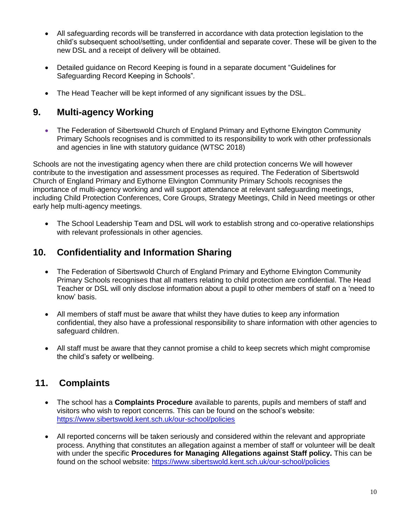- All safeguarding records will be transferred in accordance with data protection legislation to the child's subsequent school/setting, under confidential and separate cover. These will be given to the new DSL and a receipt of delivery will be obtained.
- Detailed guidance on Record Keeping is found in a separate document "Guidelines for Safeguarding Record Keeping in Schools"*.*
- The Head Teacher will be kept informed of any significant issues by the DSL.

## **9. Multi-agency Working**

• The Federation of Sibertswold Church of England Primary and Eythorne Elvington Community Primary Schools recognises and is committed to its responsibility to work with other professionals and agencies in line with statutory guidance (WTSC 2018)

Schools are not the investigating agency when there are child protection concerns We will however contribute to the investigation and assessment processes as required. The Federation of Sibertswold Church of England Primary and Eythorne Elvington Community Primary Schools recognises the importance of multi-agency working and will support attendance at relevant safeguarding meetings, including Child Protection Conferences, Core Groups, Strategy Meetings, Child in Need meetings or other early help multi-agency meetings.

 The School Leadership Team and DSL will work to establish strong and co-operative relationships with relevant professionals in other agencies.

## **10. Confidentiality and Information Sharing**

- The Federation of Sibertswold Church of England Primary and Eythorne Elvington Community Primary Schools recognises that all matters relating to child protection are confidential. The Head Teacher or DSL will only disclose information about a pupil to other members of staff on a 'need to know' basis.
- All members of staff must be aware that whilst they have duties to keep any information confidential, they also have a professional responsibility to share information with other agencies to safeguard children.
- All staff must be aware that they cannot promise a child to keep secrets which might compromise the child's safety or wellbeing.

## **11. Complaints**

- The school has a **Complaints Procedure** available to parents, pupils and members of staff and visitors who wish to report concerns. This can be found on the school's website: <https://www.sibertswold.kent.sch.uk/our-school/policies>
- All reported concerns will be taken seriously and considered within the relevant and appropriate process. Anything that constitutes an allegation against a member of staff or volunteer will be dealt with under the specific **Procedures for Managing Allegations against Staff policy.** This can be found on the school website:<https://www.sibertswold.kent.sch.uk/our-school/policies>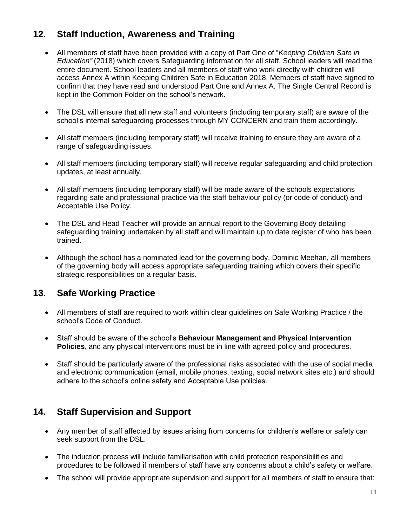## **12. Staff Induction, Awareness and Training**

- All members of staff have been provided with a copy of Part One of "*Keeping Children Safe in Education"* (2018) which covers Safeguarding information for all staff. School leaders will read the entire document. School leaders and all members of staff who work directly with children will access Annex A within Keeping Children Safe in Education 2018. Members of staff have signed to confirm that they have read and understood Part One and Annex A. The Single Central Record is kept in the Common Folder on the school's network.
- The DSL will ensure that all new staff and volunteers (including temporary staff) are aware of the school's internal safeguarding processes through MY CONCERN and train them accordingly.
- All staff members (including temporary staff) will receive training to ensure they are aware of a range of safeguarding issues.
- All staff members (including temporary staff) will receive regular safeguarding and child protection updates, at least annually.
- All staff members (including temporary staff) will be made aware of the schools expectations regarding safe and professional practice via the staff behaviour policy (or code of conduct) and Acceptable Use Policy.
- The DSL and Head Teacher will provide an annual report to the Governing Body detailing safeguarding training undertaken by all staff and will maintain up to date register of who has been trained.
- Although the school has a nominated lead for the governing body, Dominic Meehan, all members of the governing body will access appropriate safeguarding training which covers their specific strategic responsibilities on a regular basis.

## **13. Safe Working Practice**

- All members of staff are required to work within clear guidelines on Safe Working Practice / the school's Code of Conduct.
- Staff should be aware of the school's **Behaviour Management and Physical Intervention Policies***,* and any physical interventions must be in line with agreed policy and procedures.
- Staff should be particularly aware of the professional risks associated with the use of social media and electronic communication (email, mobile phones, texting, social network sites etc.) and should adhere to the school's online safety and Acceptable Use policies.

## **14. Staff Supervision and Support**

- Any member of staff affected by issues arising from concerns for children's welfare or safety can seek support from the DSL.
- The induction process will include familiarisation with child protection responsibilities and procedures to be followed if members of staff have any concerns about a child's safety or welfare.
- The school will provide appropriate supervision and support for all members of staff to ensure that: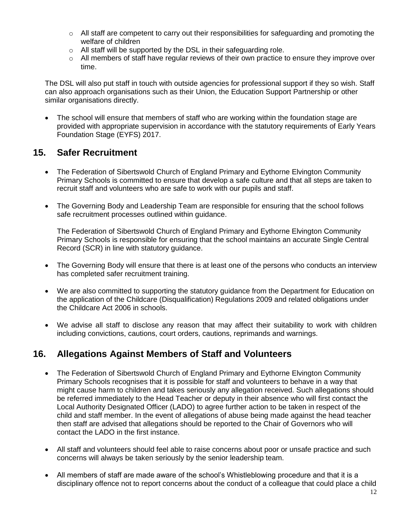- $\circ$  All staff are competent to carry out their responsibilities for safeguarding and promoting the welfare of children
- $\circ$  All staff will be supported by the DSL in their safeguarding role.
- $\circ$  All members of staff have regular reviews of their own practice to ensure they improve over time.

The DSL will also put staff in touch with outside agencies for professional support if they so wish. Staff can also approach organisations such as their Union, the Education Support Partnership or other similar organisations directly.

• The school will ensure that members of staff who are working within the foundation stage are provided with appropriate supervision in accordance with the statutory requirements of Early Years Foundation Stage (EYFS) 2017.

#### **15. Safer Recruitment**

- The Federation of Sibertswold Church of England Primary and Eythorne Elvington Community Primary Schools is committed to ensure that develop a safe culture and that all steps are taken to recruit staff and volunteers who are safe to work with our pupils and staff.
- The Governing Body and Leadership Team are responsible for ensuring that the school follows safe recruitment processes outlined within guidance.

The Federation of Sibertswold Church of England Primary and Eythorne Elvington Community Primary Schools is responsible for ensuring that the school maintains an accurate Single Central Record (SCR) in line with statutory guidance.

- The Governing Body will ensure that there is at least one of the persons who conducts an interview has completed safer recruitment training.
- We are also committed to supporting the statutory guidance from the Department for Education on the application of the Childcare (Disqualification) Regulations 2009 and related obligations under the Childcare Act 2006 in schools.
- We advise all staff to disclose any reason that may affect their suitability to work with children including convictions, cautions, court orders, cautions, reprimands and warnings.

## **16. Allegations Against Members of Staff and Volunteers**

- The Federation of Sibertswold Church of England Primary and Eythorne Elvington Community Primary Schools recognises that it is possible for staff and volunteers to behave in a way that might cause harm to children and takes seriously any allegation received. Such allegations should be referred immediately to the Head Teacher or deputy in their absence who will first contact the Local Authority Designated Officer (LADO) to agree further action to be taken in respect of the child and staff member. In the event of allegations of abuse being made against the head teacher then staff are advised that allegations should be reported to the Chair of Governors who will contact the LADO in the first instance.
- All staff and volunteers should feel able to raise concerns about poor or unsafe practice and such concerns will always be taken seriously by the senior leadership team.
- All members of staff are made aware of the school's Whistleblowing procedure and that it is a disciplinary offence not to report concerns about the conduct of a colleague that could place a child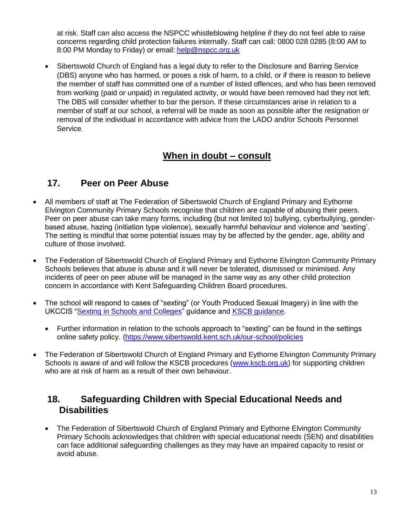at risk. Staff can also access the NSPCC whistleblowing helpline if they do not feel able to raise concerns regarding child protection failures internally. Staff can call: 0800 028 0285 (8:00 AM to 8:00 PM Monday to Friday) or email: [help@nspcc.org.uk](mailto:help@nspcc.org.uk)

 Sibertswold Church of England has a legal duty to refer to the Disclosure and Barring Service (DBS) anyone who has harmed, or poses a risk of harm, to a child, or if there is reason to believe the member of staff has committed one of a number of listed offences, and who has been removed from working (paid or unpaid) in regulated activity, or would have been removed had they not left. The DBS will consider whether to bar the person. If these circumstances arise in relation to a member of staff at our school, a referral will be made as soon as possible after the resignation or removal of the individual in accordance with advice from the LADO and/or Schools Personnel Service.

## **When in doubt – consult**

## **17. Peer on Peer Abuse**

- All members of staff at The Federation of Sibertswold Church of England Primary and Eythorne Elvington Community Primary Schools recognise that children are capable of abusing their peers. Peer on peer abuse can take many forms, including (but not limited to) bullying, cyberbullying, genderbased abuse, hazing (initiation type violence), sexually harmful behaviour and violence and 'sexting'. The setting is mindful that some potential issues may by be affected by the gender, age, ability and culture of those involved.
- The Federation of Sibertswold Church of England Primary and Eythorne Elvington Community Primary Schools believes that abuse is abuse and it will never be tolerated, dismissed or minimised. Any incidents of peer on peer abuse will be managed in the same way as any other child protection concern in accordance with Kent Safeguarding Children Board procedures.
- The school will respond to cases of "sexting" (or Youth Produced Sexual Imagery) in line with the UKCCIS ["Sexting in Schools and Colleges"](https://www.gov.uk/government/groups/uk-council-for-child-internet-safety-ukccis) guidance and [KSCB guidance.](http://www.kscb.org.uk/guidance/online-safety)
	- Further information in relation to the schools approach to "sexting" can be found in the settings online safety policy. [\(https://www.sibertswold.kent.sch.uk/our-school/policies](https://www.sibertswold.kent.sch.uk/our-school/policies)
- The Federation of Sibertswold Church of England Primary and Eythorne Elvington Community Primary Schools is aware of and will follow the KSCB procedures [\(www.kscb.org.uk\)](http://www.kscb.org.uk/) for supporting children who are at risk of harm as a result of their own behaviour.

## **18. Safeguarding Children with Special Educational Needs and Disabilities**

• The Federation of Sibertswold Church of England Primary and Eythorne Elvington Community Primary Schools acknowledges that children with special educational needs (SEN) and disabilities can face additional safeguarding challenges as they may have an impaired capacity to resist or avoid abuse.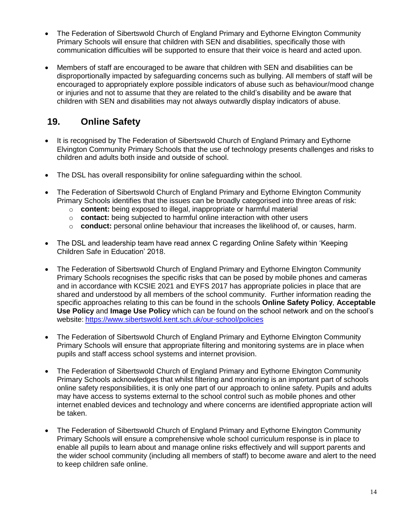- The Federation of Sibertswold Church of England Primary and Eythorne Elvington Community Primary Schools will ensure that children with SEN and disabilities, specifically those with communication difficulties will be supported to ensure that their voice is heard and acted upon.
- Members of staff are encouraged to be aware that children with SEN and disabilities can be disproportionally impacted by safeguarding concerns such as bullying. All members of staff will be encouraged to appropriately explore possible indicators of abuse such as behaviour/mood change or injuries and not to assume that they are related to the child's disability and be aware that children with SEN and disabilities may not always outwardly display indicators of abuse.

## **19. Online Safety**

- It is recognised by The Federation of Sibertswold Church of England Primary and Eythorne Elvington Community Primary Schools that the use of technology presents challenges and risks to children and adults both inside and outside of school.
- The DSL has overall responsibility for online safeguarding within the school.
- The Federation of Sibertswold Church of England Primary and Eythorne Elvington Community Primary Schools identifies that the issues can be broadly categorised into three areas of risk:
	- o **content:** being exposed to illegal, inappropriate or harmful material
	- o **contact:** being subjected to harmful online interaction with other users
	- o **conduct:** personal online behaviour that increases the likelihood of, or causes, harm.
- The DSL and leadership team have read annex C regarding Online Safety within 'Keeping Children Safe in Education' 2018.
- The Federation of Sibertswold Church of England Primary and Eythorne Elvington Community Primary Schools recognises the specific risks that can be posed by mobile phones and cameras and in accordance with KCSIE 2021 and EYFS 2017 has appropriate policies in place that are shared and understood by all members of the school community. Further information reading the specific approaches relating to this can be found in the schools **Online Safety Policy**, **Acceptable Use Policy** and **Image Use Policy** which can be found on the school network and on the school's website: <https://www.sibertswold.kent.sch.uk/our-school/policies>
- The Federation of Sibertswold Church of England Primary and Eythorne Elvington Community Primary Schools will ensure that appropriate filtering and monitoring systems are in place when pupils and staff access school systems and internet provision.
- The Federation of Sibertswold Church of England Primary and Eythorne Elvington Community Primary Schools acknowledges that whilst filtering and monitoring is an important part of schools online safety responsibilities, it is only one part of our approach to online safety. Pupils and adults may have access to systems external to the school control such as mobile phones and other internet enabled devices and technology and where concerns are identified appropriate action will be taken.
- The Federation of Sibertswold Church of England Primary and Eythorne Elvington Community Primary Schools will ensure a comprehensive whole school curriculum response is in place to enable all pupils to learn about and manage online risks effectively and will support parents and the wider school community (including all members of staff) to become aware and alert to the need to keep children safe online.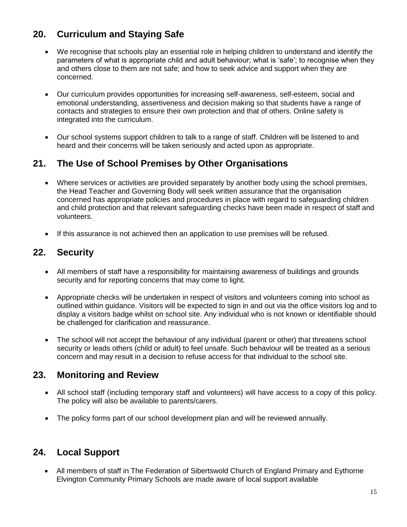## **20. Curriculum and Staying Safe**

- We recognise that schools play an essential role in helping children to understand and identify the parameters of what is appropriate child and adult behaviour; what is 'safe'; to recognise when they and others close to them are not safe; and how to seek advice and support when they are concerned.
- Our curriculum provides opportunities for increasing self-awareness, self-esteem, social and emotional understanding, assertiveness and decision making so that students have a range of contacts and strategies to ensure their own protection and that of others. Online safety is integrated into the curriculum.
- Our school systems support children to talk to a range of staff. Children will be listened to and heard and their concerns will be taken seriously and acted upon as appropriate.

## **21. The Use of School Premises by Other Organisations**

- Where services or activities are provided separately by another body using the school premises, the Head Teacher and Governing Body will seek written assurance that the organisation concerned has appropriate policies and procedures in place with regard to safeguarding children and child protection and that relevant safeguarding checks have been made in respect of staff and volunteers.
- If this assurance is not achieved then an application to use premises will be refused.

## **22. Security**

- All members of staff have a responsibility for maintaining awareness of buildings and grounds security and for reporting concerns that may come to light.
- Appropriate checks will be undertaken in respect of visitors and volunteers coming into school as outlined within guidance. Visitors will be expected to sign in and out via the office visitors log and to display a visitors badge whilst on school site. Any individual who is not known or identifiable should be challenged for clarification and reassurance.
- The school will not accept the behaviour of any individual (parent or other) that threatens school security or leads others (child or adult) to feel unsafe. Such behaviour will be treated as a serious concern and may result in a decision to refuse access for that individual to the school site.

## **23. Monitoring and Review**

- All school staff (including temporary staff and volunteers) will have access to a copy of this policy. The policy will also be available to parents/carers.
- The policy forms part of our school development plan and will be reviewed annually.

## **24. Local Support**

 All members of staff in The Federation of Sibertswold Church of England Primary and Eythorne Elvington Community Primary Schools are made aware of local support available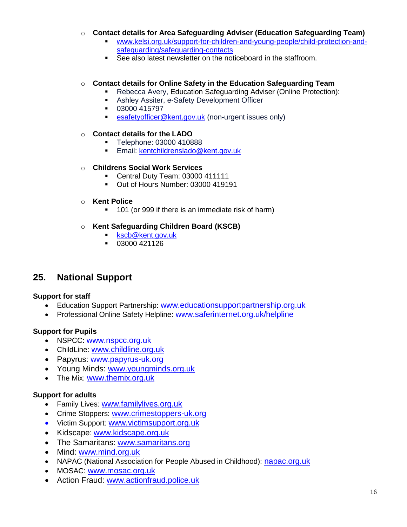- o **Contact details for Area Safeguarding Adviser (Education Safeguarding Team)**
	- [www.kelsi.org.uk/support-for-children-and-young-people/child-protection-and](http://www.kelsi.org.uk/support-for-children-and-young-people/child-protection-and-safeguarding/safeguarding-contacts)[safeguarding/safeguarding-contacts](http://www.kelsi.org.uk/support-for-children-and-young-people/child-protection-and-safeguarding/safeguarding-contacts)
	- See also latest newsletter on the noticeboard in the staffroom.

#### o **Contact details for Online Safety in the Education Safeguarding Team**

- Rebecca Avery, Education Safeguarding Adviser (Online Protection):
- **Ashley Assiter, e-Safety Development Officer**
- 03000 415797
- **[esafetyofficer@kent.gov.uk](mailto:esafetyofficer@kent.gov.uk)** (non-urgent issues only)

#### o **Contact details for the LADO**

- **Telephone: 03000 410888**
- **Email: [kentchildrenslado@kent.gov.uk](mailto:kentchildrenslado@kent.gov.uk)**

#### o **Childrens Social Work Services**

- Central Duty Team: 03000 411111
- Out of Hours Number: 03000 419191

#### o **Kent Police**

**101** (or 999 if there is an immediate risk of harm)

#### o **Kent Safeguarding Children Board (KSCB)**

- **[kscb@kent.gov.uk](mailto:kscb@kent.gov.uk)**
- 03000 421126

## **25. National Support**

#### **Support for staff**

- Education Support Partnership: [www.educationsupportpartnership.org.uk](http://www.educationsupportpartnership.org.uk/)
- Professional Online Safety Helpline: [www.saferinternet.org.uk/helpline](http://www.saferinternet.org.uk/helpline)

#### **Support for Pupils**

- NSPCC: [www.nspcc.org.uk](http://www.nspcc.org.uk/)
- ChildLine: [www.childline.org.uk](http://www.childline.org.uk/)
- Papyrus: [www.papyrus-uk.org](http://www.papyrus-uk.org/)
- Young Minds: [www.youngminds.org.uk](http://www.youngminds.org.uk/)
- The Mix: [www.themix.org.uk](http://www.themix.org.uk/)

#### **Support for adults**

- Family Lives: [www.familylives.org.uk](http://www.familylives.org.uk/)
- Crime Stoppers: [www.crimestoppers-uk.org](http://www.crimestoppers-uk.org/)
- Victim Support: [www.victimsupport.org.uk](http://www.victimsupport.org.uk/)
- Kidscape: [www.kidscape.org.uk](http://www.kidscape.org.uk/)
- The Samaritans: [www.samaritans.org](http://www.samaritans.org/)
- Mind: [www.mind.org.uk](http://www.mind.org.uk/)
- NAPAC (National Association for People Abused in Childhood): [napac.org.uk](https://napac.org.uk/)
- MOSAC: [www.mosac.org.uk](http://www.mosac.org.uk/)
- Action Fraud: [www.actionfraud.police.uk](http://www.actionfraud.police.uk/)